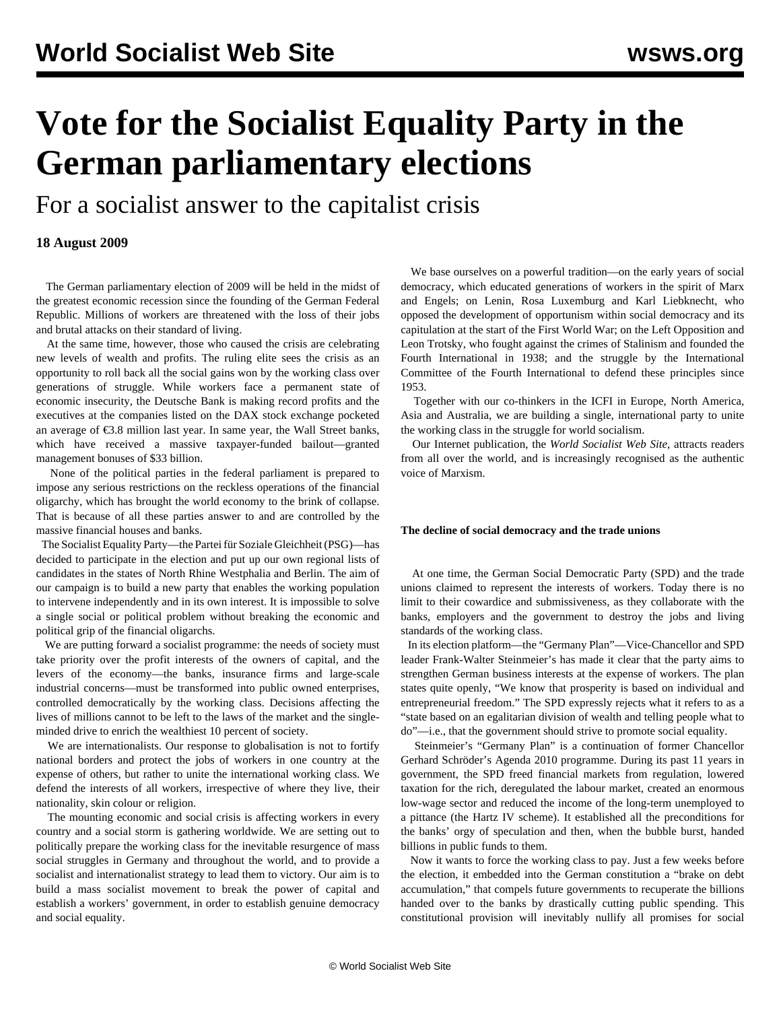# **Vote for the Socialist Equality Party in the German parliamentary elections**

For a socialist answer to the capitalist crisis

### **18 August 2009**

 The German parliamentary election of 2009 will be held in the midst of the greatest economic recession since the founding of the German Federal Republic. Millions of workers are threatened with the loss of their jobs and brutal attacks on their standard of living.

 At the same time, however, those who caused the crisis are celebrating new levels of wealth and profits. The ruling elite sees the crisis as an opportunity to roll back all the social gains won by the working class over generations of struggle. While workers face a permanent state of economic insecurity, the Deutsche Bank is making record profits and the executives at the companies listed on the DAX stock exchange pocketed an average of €3.8 million last year. In same year, the Wall Street banks, which have received a massive taxpayer-funded bailout—granted management bonuses of \$33 billion.

 None of the political parties in the federal parliament is prepared to impose any serious restrictions on the reckless operations of the financial oligarchy, which has brought the world economy to the brink of collapse. That is because of all these parties answer to and are controlled by the massive financial houses and banks.

 The Socialist Equality Party—the Partei für Soziale Gleichheit (PSG)—has decided to participate in the election and put up our own regional lists of candidates in the states of North Rhine Westphalia and Berlin. The aim of our campaign is to build a new party that enables the working population to intervene independently and in its own interest. It is impossible to solve a single social or political problem without breaking the economic and political grip of the financial oligarchs.

 We are putting forward a socialist programme: the needs of society must take priority over the profit interests of the owners of capital, and the levers of the economy—the banks, insurance firms and large-scale industrial concerns—must be transformed into public owned enterprises, controlled democratically by the working class. Decisions affecting the lives of millions cannot to be left to the laws of the market and the singleminded drive to enrich the wealthiest 10 percent of society.

 We are internationalists. Our response to globalisation is not to fortify national borders and protect the jobs of workers in one country at the expense of others, but rather to unite the international working class. We defend the interests of all workers, irrespective of where they live, their nationality, skin colour or religion.

 The mounting economic and social crisis is affecting workers in every country and a social storm is gathering worldwide. We are setting out to politically prepare the working class for the inevitable resurgence of mass social struggles in Germany and throughout the world, and to provide a socialist and internationalist strategy to lead them to victory. Our aim is to build a mass socialist movement to break the power of capital and establish a workers' government, in order to establish genuine democracy and social equality.

 We base ourselves on a powerful tradition—on the early years of social democracy, which educated generations of workers in the spirit of Marx and Engels; on Lenin, Rosa Luxemburg and Karl Liebknecht, who opposed the development of opportunism within social democracy and its capitulation at the start of the First World War; on the Left Opposition and Leon Trotsky, who fought against the crimes of Stalinism and founded the Fourth International in 1938; and the struggle by the International Committee of the Fourth International to defend these principles since 1953.

 Together with our co-thinkers in the ICFI in Europe, North America, Asia and Australia, we are building a single, international party to unite the working class in the struggle for world socialism.

 Our Internet publication, the *World Socialist Web Site*, attracts readers from all over the world, and is increasingly recognised as the authentic voice of Marxism.

#### **The decline of social democracy and the trade unions**

 At one time, the German Social Democratic Party (SPD) and the trade unions claimed to represent the interests of workers. Today there is no limit to their cowardice and submissiveness, as they collaborate with the banks, employers and the government to destroy the jobs and living standards of the working class.

 In its election platform—the "Germany Plan"—Vice-Chancellor and SPD leader Frank-Walter Steinmeier's has made it clear that the party aims to strengthen German business interests at the expense of workers. The plan states quite openly, "We know that prosperity is based on individual and entrepreneurial freedom." The SPD expressly rejects what it refers to as a "state based on an egalitarian division of wealth and telling people what to do"—i.e., that the government should strive to promote social equality.

 Steinmeier's "Germany Plan" is a continuation of former Chancellor Gerhard Schröder's Agenda 2010 programme. During its past 11 years in government, the SPD freed financial markets from regulation, lowered taxation for the rich, deregulated the labour market, created an enormous low-wage sector and reduced the income of the long-term unemployed to a pittance (the Hartz IV scheme). It established all the preconditions for the banks' orgy of speculation and then, when the bubble burst, handed billions in public funds to them.

 Now it wants to force the working class to pay. Just a few weeks before the election, it embedded into the German constitution a "brake on debt accumulation," that compels future governments to recuperate the billions handed over to the banks by drastically cutting public spending. This constitutional provision will inevitably nullify all promises for social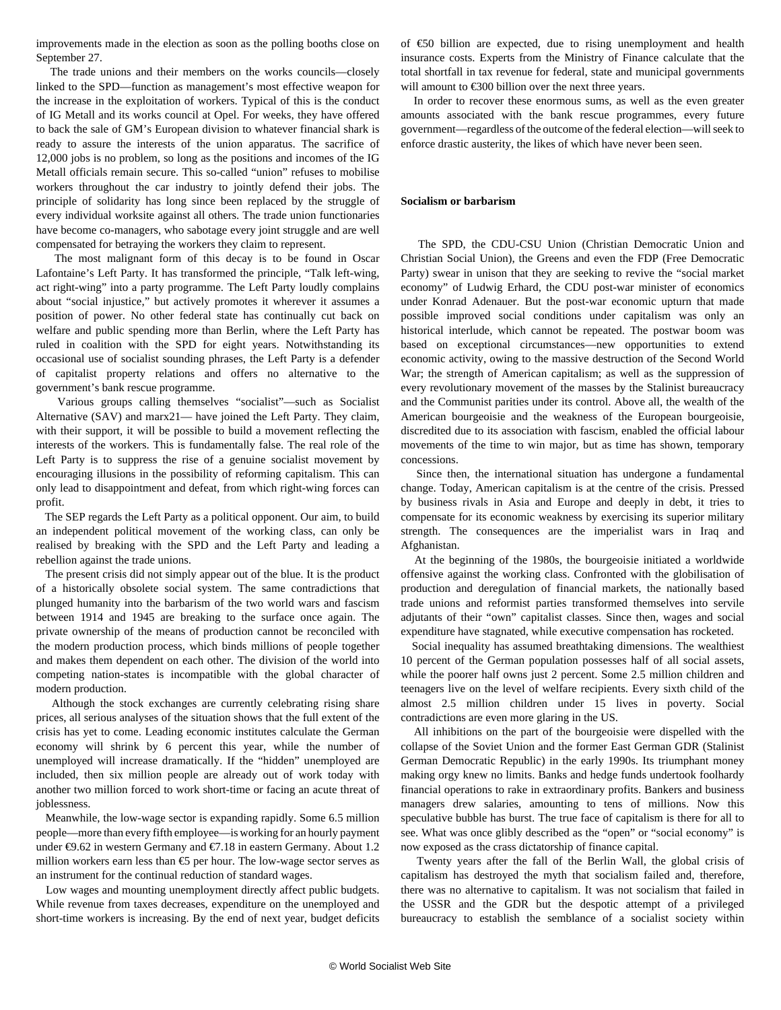improvements made in the election as soon as the polling booths close on September 27.

 The trade unions and their members on the works councils—closely linked to the SPD—function as management's most effective weapon for the increase in the exploitation of workers. Typical of this is the conduct of IG Metall and its works council at Opel. For weeks, they have offered to back the sale of GM's European division to whatever financial shark is ready to assure the interests of the union apparatus. The sacrifice of 12,000 jobs is no problem, so long as the positions and incomes of the IG Metall officials remain secure. This so-called "union" refuses to mobilise workers throughout the car industry to jointly defend their jobs. The principle of solidarity has long since been replaced by the struggle of every individual worksite against all others. The trade union functionaries have become co-managers, who sabotage every joint struggle and are well compensated for betraying the workers they claim to represent.

 The most malignant form of this decay is to be found in Oscar Lafontaine's Left Party. It has transformed the principle, "Talk left-wing, act right-wing" into a party programme. The Left Party loudly complains about "social injustice," but actively promotes it wherever it assumes a position of power. No other federal state has continually cut back on welfare and public spending more than Berlin, where the Left Party has ruled in coalition with the SPD for eight years. Notwithstanding its occasional use of socialist sounding phrases, the Left Party is a defender of capitalist property relations and offers no alternative to the government's bank rescue programme.

 Various groups calling themselves "socialist"—such as Socialist Alternative (SAV) and marx21— have joined the Left Party. They claim, with their support, it will be possible to build a movement reflecting the interests of the workers. This is fundamentally false. The real role of the Left Party is to suppress the rise of a genuine socialist movement by encouraging illusions in the possibility of reforming capitalism. This can only lead to disappointment and defeat, from which right-wing forces can profit.

 The SEP regards the Left Party as a political opponent. Our aim, to build an independent political movement of the working class, can only be realised by breaking with the SPD and the Left Party and leading a rebellion against the trade unions.

 The present crisis did not simply appear out of the blue. It is the product of a historically obsolete social system. The same contradictions that plunged humanity into the barbarism of the two world wars and fascism between 1914 and 1945 are breaking to the surface once again. The private ownership of the means of production cannot be reconciled with the modern production process, which binds millions of people together and makes them dependent on each other. The division of the world into competing nation-states is incompatible with the global character of modern production.

 Although the stock exchanges are currently celebrating rising share prices, all serious analyses of the situation shows that the full extent of the crisis has yet to come. Leading economic institutes calculate the German economy will shrink by 6 percent this year, while the number of unemployed will increase dramatically. If the "hidden" unemployed are included, then six million people are already out of work today with another two million forced to work short-time or facing an acute threat of joblessness.

 Meanwhile, the low-wage sector is expanding rapidly. Some 6.5 million people—more than every fifth employee—is working for an hourly payment under €9.62 in western Germany and €7.18 in eastern Germany. About 1.2 million workers earn less than €5 per hour. The low-wage sector serves as an instrument for the continual reduction of standard wages.

 Low wages and mounting unemployment directly affect public budgets. While revenue from taxes decreases, expenditure on the unemployed and short-time workers is increasing. By the end of next year, budget deficits

of €50 billion are expected, due to rising unemployment and health insurance costs. Experts from the Ministry of Finance calculate that the total shortfall in tax revenue for federal, state and municipal governments will amount to €300 billion over the next three years.

 In order to recover these enormous sums, as well as the even greater amounts associated with the bank rescue programmes, every future government—regardless of the outcome of the federal election—will seek to enforce drastic austerity, the likes of which have never been seen.

#### **Socialism or barbarism**

 The SPD, the CDU-CSU Union (Christian Democratic Union and Christian Social Union), the Greens and even the FDP (Free Democratic Party) swear in unison that they are seeking to revive the "social market economy" of Ludwig Erhard, the CDU post-war minister of economics under Konrad Adenauer. But the post-war economic upturn that made possible improved social conditions under capitalism was only an historical interlude, which cannot be repeated. The postwar boom was based on exceptional circumstances—new opportunities to extend economic activity, owing to the massive destruction of the Second World War; the strength of American capitalism; as well as the suppression of every revolutionary movement of the masses by the Stalinist bureaucracy and the Communist parities under its control. Above all, the wealth of the American bourgeoisie and the weakness of the European bourgeoisie, discredited due to its association with fascism, enabled the official labour movements of the time to win major, but as time has shown, temporary concessions.

 Since then, the international situation has undergone a fundamental change. Today, American capitalism is at the centre of the crisis. Pressed by business rivals in Asia and Europe and deeply in debt, it tries to compensate for its economic weakness by exercising its superior military strength. The consequences are the imperialist wars in Iraq and Afghanistan.

 At the beginning of the 1980s, the bourgeoisie initiated a worldwide offensive against the working class. Confronted with the globilisation of production and deregulation of financial markets, the nationally based trade unions and reformist parties transformed themselves into servile adjutants of their "own" capitalist classes. Since then, wages and social expenditure have stagnated, while executive compensation has rocketed.

 Social inequality has assumed breathtaking dimensions. The wealthiest 10 percent of the German population possesses half of all social assets, while the poorer half owns just 2 percent. Some 2.5 million children and teenagers live on the level of welfare recipients. Every sixth child of the almost 2.5 million children under 15 lives in poverty. Social contradictions are even more glaring in the US.

 All inhibitions on the part of the bourgeoisie were dispelled with the collapse of the Soviet Union and the former East German GDR (Stalinist German Democratic Republic) in the early 1990s. Its triumphant money making orgy knew no limits. Banks and hedge funds undertook foolhardy financial operations to rake in extraordinary profits. Bankers and business managers drew salaries, amounting to tens of millions. Now this speculative bubble has burst. The true face of capitalism is there for all to see. What was once glibly described as the "open" or "social economy" is now exposed as the crass dictatorship of finance capital.

 Twenty years after the fall of the Berlin Wall, the global crisis of capitalism has destroyed the myth that socialism failed and, therefore, there was no alternative to capitalism. It was not socialism that failed in the USSR and the GDR but the despotic attempt of a privileged bureaucracy to establish the semblance of a socialist society within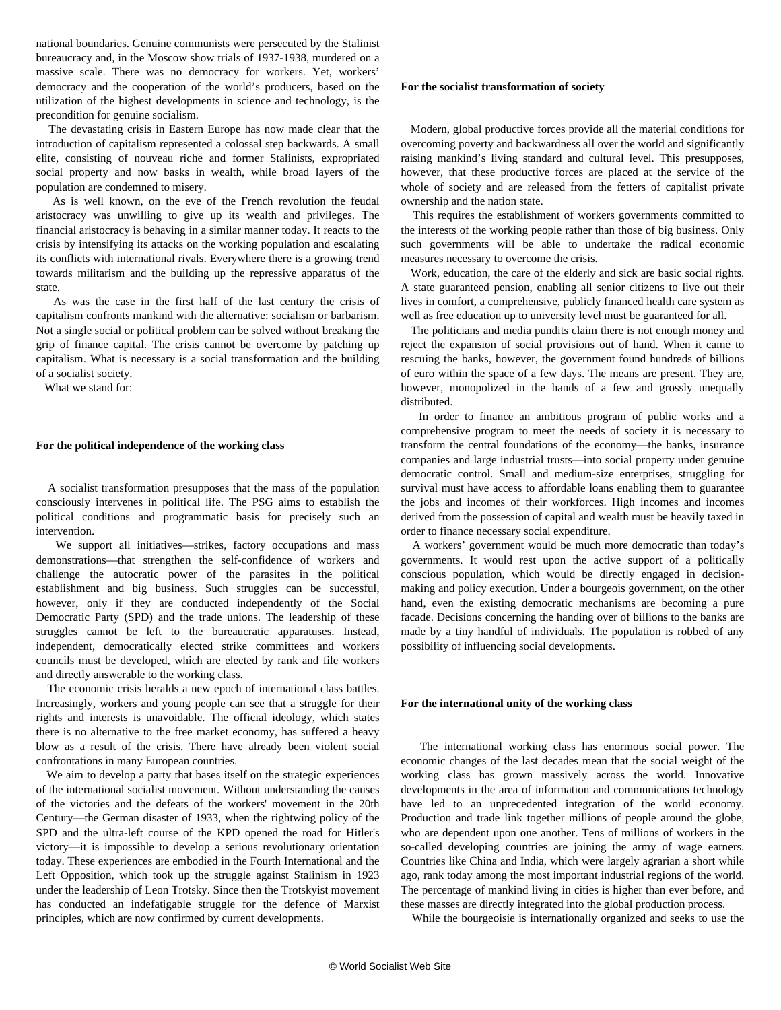national boundaries. Genuine communists were persecuted by the Stalinist bureaucracy and, in the Moscow show trials of 1937-1938, murdered on a massive scale. There was no democracy for workers. Yet, workers' democracy and the cooperation of the world's producers, based on the utilization of the highest developments in science and technology, is the precondition for genuine socialism.

 The devastating crisis in Eastern Europe has now made clear that the introduction of capitalism represented a colossal step backwards. A small elite, consisting of nouveau riche and former Stalinists, expropriated social property and now basks in wealth, while broad layers of the population are condemned to misery.

 As is well known, on the eve of the French revolution the feudal aristocracy was unwilling to give up its wealth and privileges. The financial aristocracy is behaving in a similar manner today. It reacts to the crisis by intensifying its attacks on the working population and escalating its conflicts with international rivals. Everywhere there is a growing trend towards militarism and the building up the repressive apparatus of the state.

 As was the case in the first half of the last century the crisis of capitalism confronts mankind with the alternative: socialism or barbarism. Not a single social or political problem can be solved without breaking the grip of finance capital. The crisis cannot be overcome by patching up capitalism. What is necessary is a social transformation and the building of a socialist society.

What we stand for:

#### **For the political independence of the working class**

 A socialist transformation presupposes that the mass of the population consciously intervenes in political life. The PSG aims to establish the political conditions and programmatic basis for precisely such an intervention.

 We support all initiatives—strikes, factory occupations and mass demonstrations—that strengthen the self-confidence of workers and challenge the autocratic power of the parasites in the political establishment and big business. Such struggles can be successful, however, only if they are conducted independently of the Social Democratic Party (SPD) and the trade unions. The leadership of these struggles cannot be left to the bureaucratic apparatuses. Instead, independent, democratically elected strike committees and workers councils must be developed, which are elected by rank and file workers and directly answerable to the working class.

 The economic crisis heralds a new epoch of international class battles. Increasingly, workers and young people can see that a struggle for their rights and interests is unavoidable. The official ideology, which states there is no alternative to the free market economy, has suffered a heavy blow as a result of the crisis. There have already been violent social confrontations in many European countries.

 We aim to develop a party that bases itself on the strategic experiences of the international socialist movement. Without understanding the causes of the victories and the defeats of the workers' movement in the 20th Century—the German disaster of 1933, when the rightwing policy of the SPD and the ultra-left course of the KPD opened the road for Hitler's victory—it is impossible to develop a serious revolutionary orientation today. These experiences are embodied in the Fourth International and the Left Opposition, which took up the struggle against Stalinism in 1923 under the leadership of Leon Trotsky. Since then the Trotskyist movement has conducted an indefatigable struggle for the defence of Marxist principles, which are now confirmed by current developments.

#### **For the socialist transformation of society**

 Modern, global productive forces provide all the material conditions for overcoming poverty and backwardness all over the world and significantly raising mankind's living standard and cultural level. This presupposes, however, that these productive forces are placed at the service of the whole of society and are released from the fetters of capitalist private ownership and the nation state.

 This requires the establishment of workers governments committed to the interests of the working people rather than those of big business. Only such governments will be able to undertake the radical economic measures necessary to overcome the crisis.

 Work, education, the care of the elderly and sick are basic social rights. A state guaranteed pension, enabling all senior citizens to live out their lives in comfort, a comprehensive, publicly financed health care system as well as free education up to university level must be guaranteed for all.

 The politicians and media pundits claim there is not enough money and reject the expansion of social provisions out of hand. When it came to rescuing the banks, however, the government found hundreds of billions of euro within the space of a few days. The means are present. They are, however, monopolized in the hands of a few and grossly unequally distributed.

 In order to finance an ambitious program of public works and a comprehensive program to meet the needs of society it is necessary to transform the central foundations of the economy—the banks, insurance companies and large industrial trusts—into social property under genuine democratic control. Small and medium-size enterprises, struggling for survival must have access to affordable loans enabling them to guarantee the jobs and incomes of their workforces. High incomes and incomes derived from the possession of capital and wealth must be heavily taxed in order to finance necessary social expenditure.

 A workers' government would be much more democratic than today's governments. It would rest upon the active support of a politically conscious population, which would be directly engaged in decisionmaking and policy execution. Under a bourgeois government, on the other hand, even the existing democratic mechanisms are becoming a pure facade. Decisions concerning the handing over of billions to the banks are made by a tiny handful of individuals. The population is robbed of any possibility of influencing social developments.

#### **For the international unity of the working class**

 The international working class has enormous social power. The economic changes of the last decades mean that the social weight of the working class has grown massively across the world. Innovative developments in the area of information and communications technology have led to an unprecedented integration of the world economy. Production and trade link together millions of people around the globe, who are dependent upon one another. Tens of millions of workers in the so-called developing countries are joining the army of wage earners. Countries like China and India, which were largely agrarian a short while ago, rank today among the most important industrial regions of the world. The percentage of mankind living in cities is higher than ever before, and these masses are directly integrated into the global production process.

While the bourgeoisie is internationally organized and seeks to use the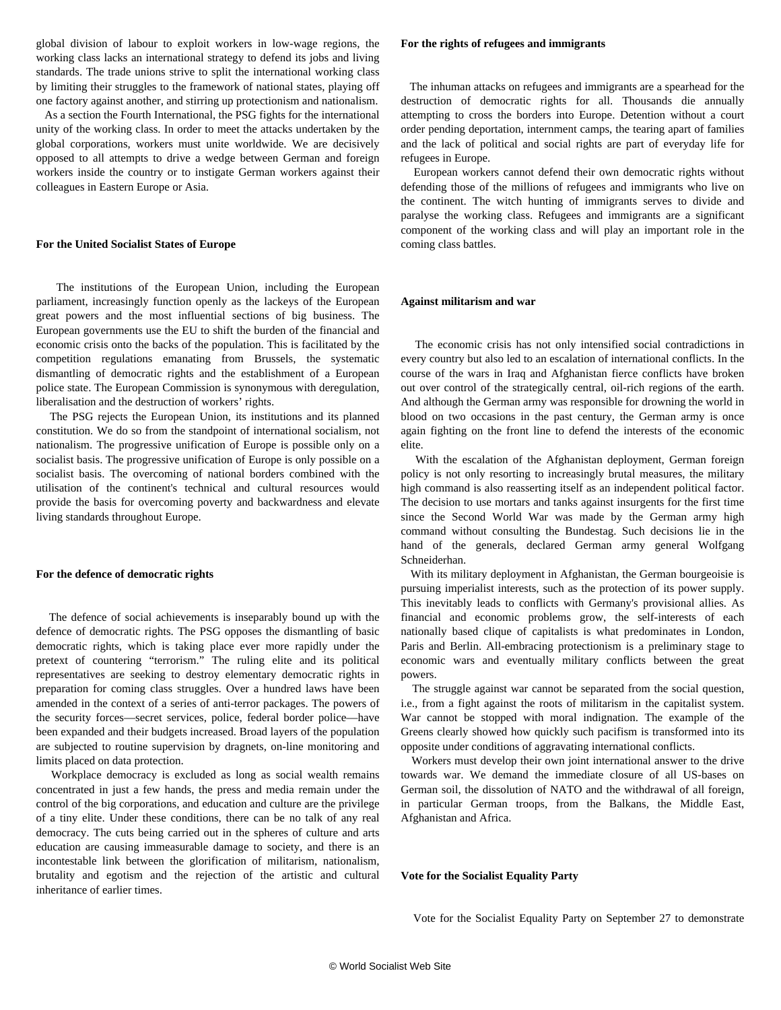global division of labour to exploit workers in low-wage regions, the working class lacks an international strategy to defend its jobs and living standards. The trade unions strive to split the international working class by limiting their struggles to the framework of national states, playing off one factory against another, and stirring up protectionism and nationalism.

 As a section the Fourth International, the PSG fights for the international unity of the working class. In order to meet the attacks undertaken by the global corporations, workers must unite worldwide. We are decisively opposed to all attempts to drive a wedge between German and foreign workers inside the country or to instigate German workers against their colleagues in Eastern Europe or Asia.

#### **For the United Socialist States of Europe**

 The institutions of the European Union, including the European parliament, increasingly function openly as the lackeys of the European great powers and the most influential sections of big business. The European governments use the EU to shift the burden of the financial and economic crisis onto the backs of the population. This is facilitated by the competition regulations emanating from Brussels, the systematic dismantling of democratic rights and the establishment of a European police state. The European Commission is synonymous with deregulation, liberalisation and the destruction of workers' rights.

 The PSG rejects the European Union, its institutions and its planned constitution. We do so from the standpoint of international socialism, not nationalism. The progressive unification of Europe is possible only on a socialist basis. The progressive unification of Europe is only possible on a socialist basis. The overcoming of national borders combined with the utilisation of the continent's technical and cultural resources would provide the basis for overcoming poverty and backwardness and elevate living standards throughout Europe.

#### **For the defence of democratic rights**

 The defence of social achievements is inseparably bound up with the defence of democratic rights. The PSG opposes the dismantling of basic democratic rights, which is taking place ever more rapidly under the pretext of countering "terrorism." The ruling elite and its political representatives are seeking to destroy elementary democratic rights in preparation for coming class struggles. Over a hundred laws have been amended in the context of a series of anti-terror packages. The powers of the security forces—secret services, police, federal border police—have been expanded and their budgets increased. Broad layers of the population are subjected to routine supervision by dragnets, on-line monitoring and limits placed on data protection.

 Workplace democracy is excluded as long as social wealth remains concentrated in just a few hands, the press and media remain under the control of the big corporations, and education and culture are the privilege of a tiny elite. Under these conditions, there can be no talk of any real democracy. The cuts being carried out in the spheres of culture and arts education are causing immeasurable damage to society, and there is an incontestable link between the glorification of militarism, nationalism, brutality and egotism and the rejection of the artistic and cultural inheritance of earlier times.

#### **For the rights of refugees and immigrants**

 The inhuman attacks on refugees and immigrants are a spearhead for the destruction of democratic rights for all. Thousands die annually attempting to cross the borders into Europe. Detention without a court order pending deportation, internment camps, the tearing apart of families and the lack of political and social rights are part of everyday life for refugees in Europe.

 European workers cannot defend their own democratic rights without defending those of the millions of refugees and immigrants who live on the continent. The witch hunting of immigrants serves to divide and paralyse the working class. Refugees and immigrants are a significant component of the working class and will play an important role in the coming class battles.

#### **Against militarism and war**

 The economic crisis has not only intensified social contradictions in every country but also led to an escalation of international conflicts. In the course of the wars in Iraq and Afghanistan fierce conflicts have broken out over control of the strategically central, oil-rich regions of the earth. And although the German army was responsible for drowning the world in blood on two occasions in the past century, the German army is once again fighting on the front line to defend the interests of the economic elite.

 With the escalation of the Afghanistan deployment, German foreign policy is not only resorting to increasingly brutal measures, the military high command is also reasserting itself as an independent political factor. The decision to use mortars and tanks against insurgents for the first time since the Second World War was made by the German army high command without consulting the Bundestag. Such decisions lie in the hand of the generals, declared German army general Wolfgang Schneiderhan.

 With its military deployment in Afghanistan, the German bourgeoisie is pursuing imperialist interests, such as the protection of its power supply. This inevitably leads to conflicts with Germany's provisional allies. As financial and economic problems grow, the self-interests of each nationally based clique of capitalists is what predominates in London, Paris and Berlin. All-embracing protectionism is a preliminary stage to economic wars and eventually military conflicts between the great powers.

 The struggle against war cannot be separated from the social question, i.e., from a fight against the roots of militarism in the capitalist system. War cannot be stopped with moral indignation. The example of the Greens clearly showed how quickly such pacifism is transformed into its opposite under conditions of aggravating international conflicts.

 Workers must develop their own joint international answer to the drive towards war. We demand the immediate closure of all US-bases on German soil, the dissolution of NATO and the withdrawal of all foreign, in particular German troops, from the Balkans, the Middle East, Afghanistan and Africa.

#### **Vote for the Socialist Equality Party**

Vote for the Socialist Equality Party on September 27 to demonstrate